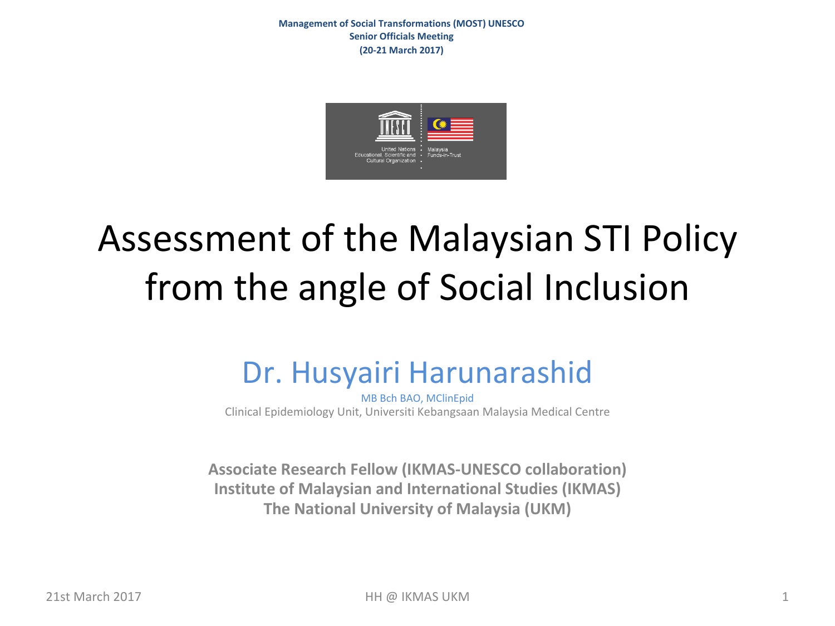**Management of Social Transformations (MOST) UNESCO Senior Officials Meeting (20-21 March 2017)**



# Assessment of the Malaysian STI Policy from the angle of Social Inclusion

#### Dr. Husyairi Harunarashid

MB Bch BAO, MClinEpid Clinical Epidemiology Unit, Universiti Kebangsaan Malaysia Medical Centre

Associate Research Fellow (IKMAS-UNESCO collaboration) **Institute of Malaysian and International Studies (IKMAS) The National University of Malaysia (UKM)**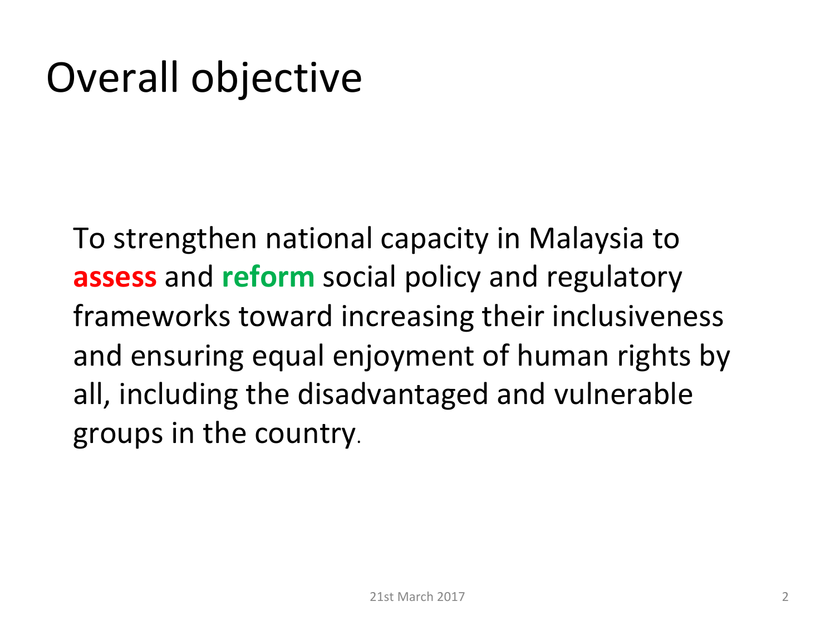# Overall objective

To strengthen national capacity in Malaysia to **assess** and **reform** social policy and regulatory frameworks toward increasing their inclusiveness and ensuring equal enjoyment of human rights by all, including the disadvantaged and vulnerable groups in the country.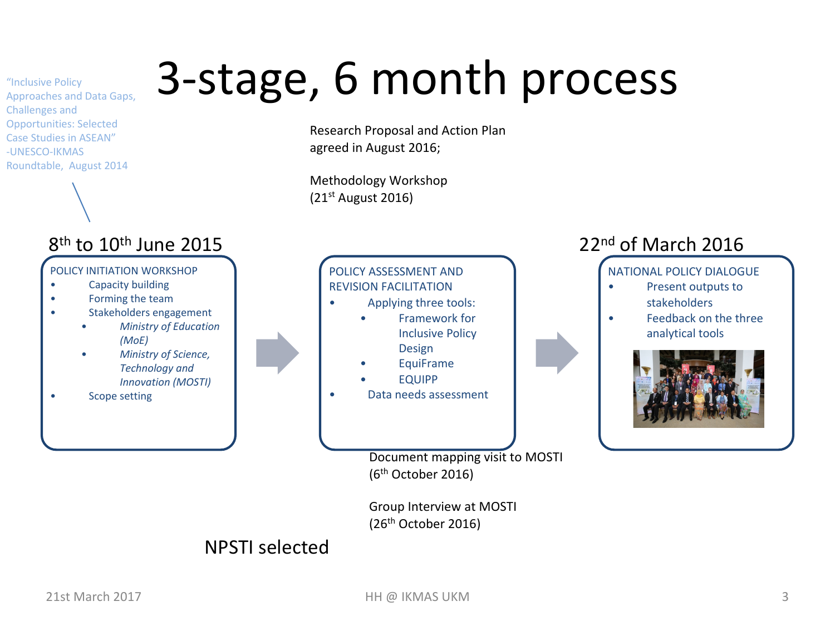# 3-stage, 6 month process

Research Proposal and Action Plan agreed in August 2016;

Methodology Workshop  $(21<sup>st</sup>$  August 2016)



#### NPSTI selected

"Inclusive Policy 

Challenges and 

Approaches and Data Gaps,

Opportunities: Selected Case Studies in ASEAN" -UNESCO-IKMAS 

Roundtable, August 2014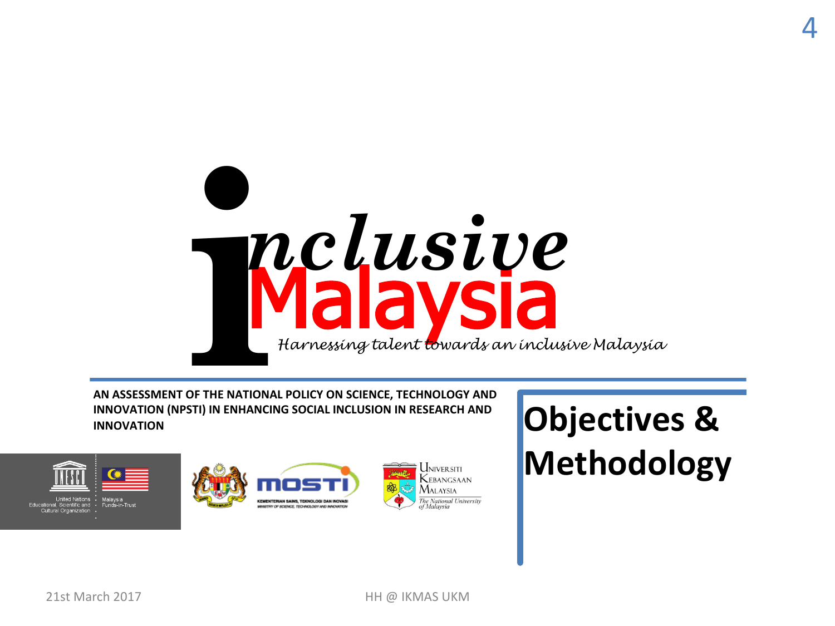

AN ASSESSMENT OF THE NATIONAL POLICY ON SCIENCE, TECHNOLOGY AND **INNOVATION (NPSTI) IN ENHANCING SOCIAL INCLUSION IN RESEARCH AND INNOVATION**



**Objectives & Methodology**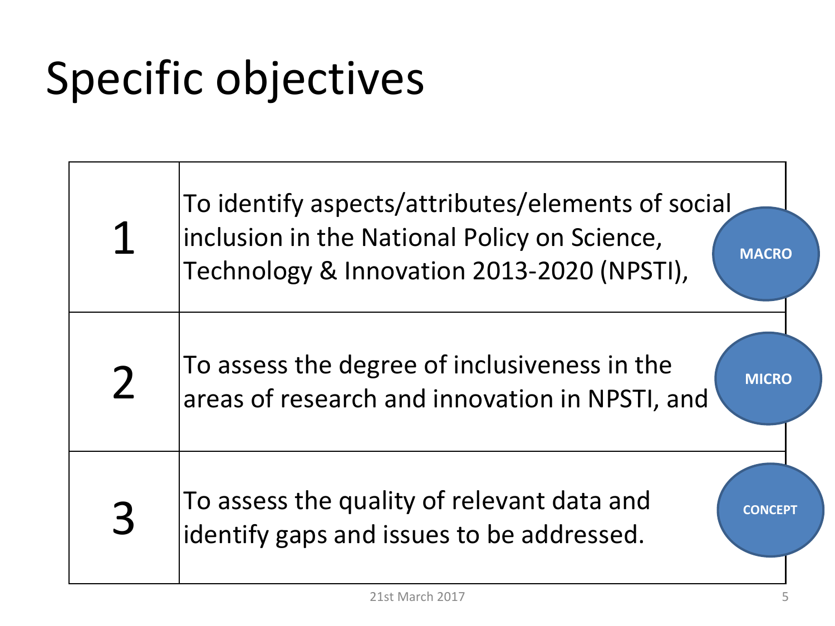# Specific objectives

|                | To identify aspects/attributes/elements of social<br>inclusion in the National Policy on Science,<br><b>MACRO</b><br>Technology & Innovation 2013-2020 (NPSTI), |
|----------------|-----------------------------------------------------------------------------------------------------------------------------------------------------------------|
| $\overline{2}$ | To assess the degree of inclusiveness in the<br><b>MICRO</b><br>areas of research and innovation in NPSTI, and                                                  |
| 3              | To assess the quality of relevant data and<br>identify gaps and issues to be addressed.                                                                         |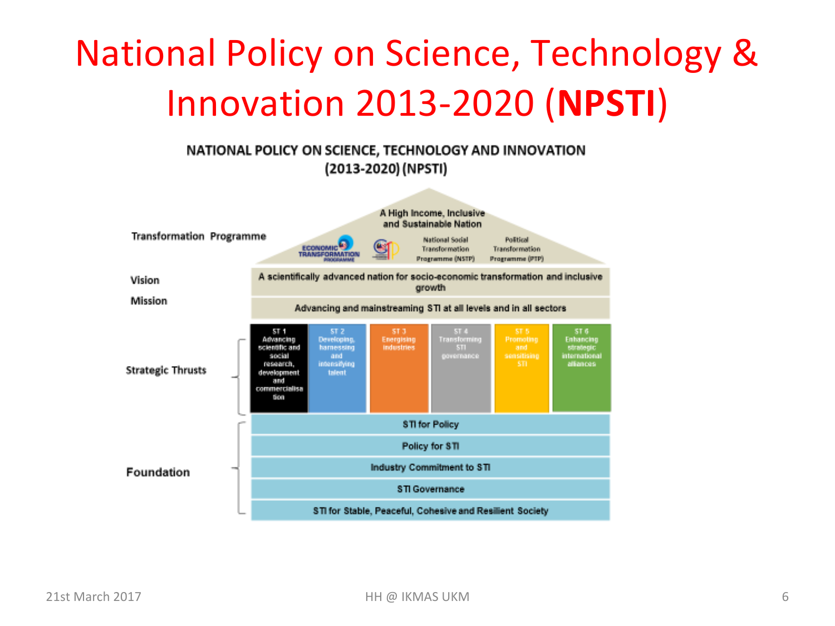# National Policy on Science, Technology & Innovation 2013-2020 (**NPSTI**)

#### NATIONAL POLICY ON SCIENCE, TECHNOLOGY AND INNOVATION (2013-2020) (NPSTI)

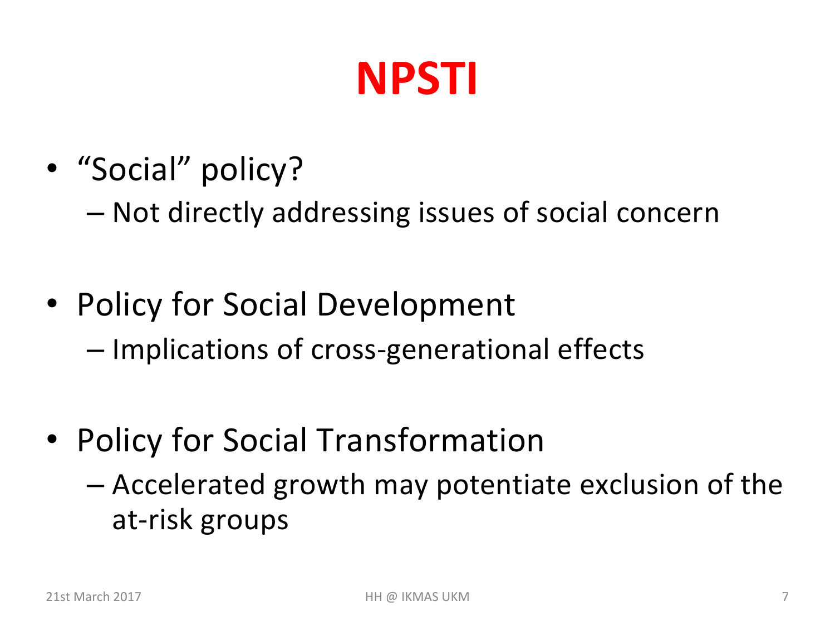# **NPSTI**

• "Social" policy?

– Not directly addressing issues of social concern

- Policy for Social Development – Implications of cross-generational effects
- Policy for Social Transformation
	- $-$  Accelerated growth may potentiate exclusion of the at-risk groups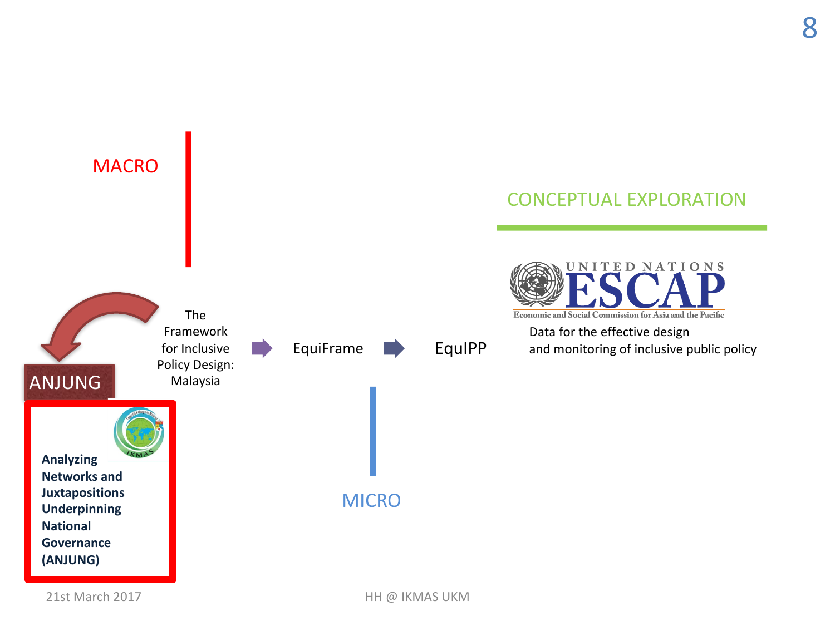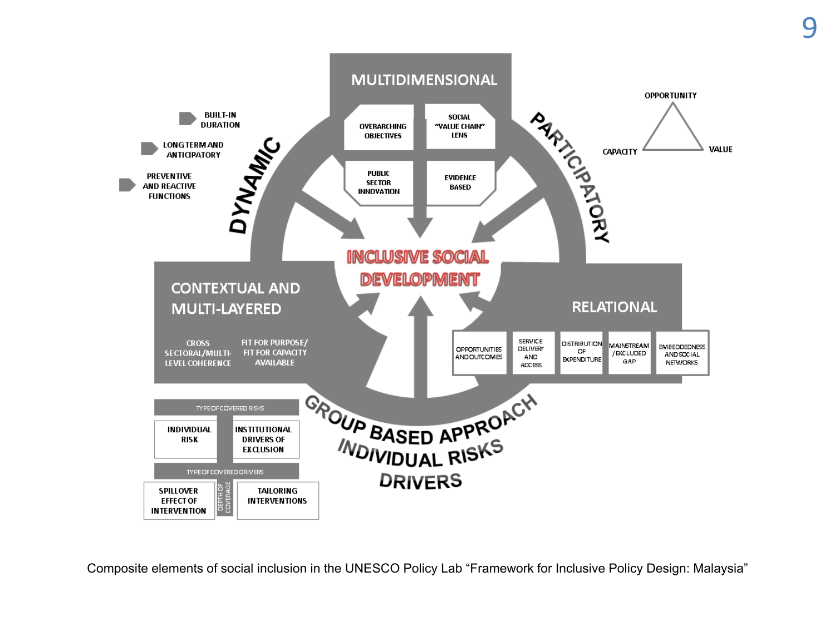

Composite elements of social inclusion in the UNESCO Policy Lab "Framework for Inclusive Policy Design: Malaysia"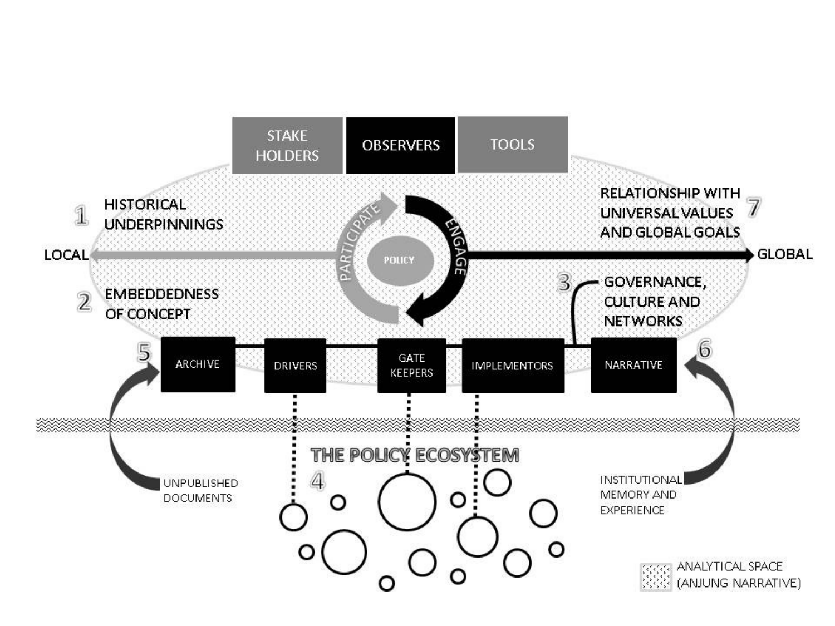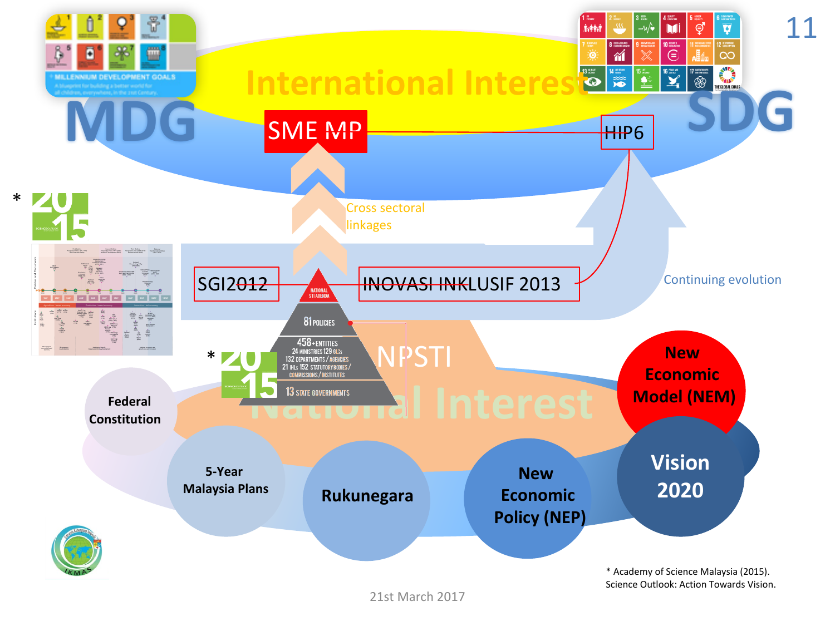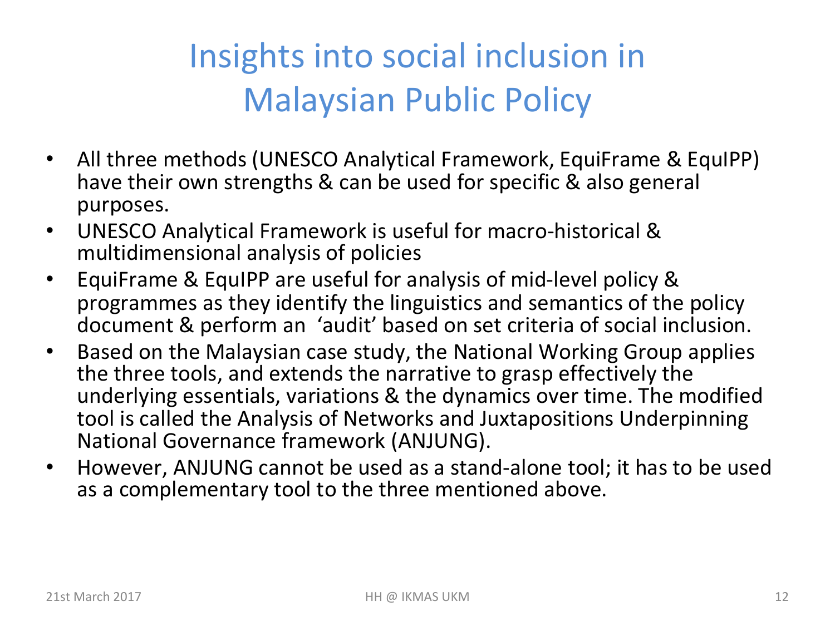### Insights into social inclusion in **Malaysian Public Policy**

- All three methods (UNESCO Analytical Framework, EquiFrame & EquIPP) have their own strengths & can be used for specific & also general purposes.
- UNESCO Analytical Framework is useful for macro-historical & multidimensional analysis of policies
- EquiFrame & EquIPP are useful for analysis of mid-level policy & programmes as they identify the linguistics and semantics of the policy document & perform an 'audit' based on set criteria of social inclusion.
- Based on the Malaysian case study, the National Working Group applies the three tools, and extends the narrative to grasp effectively the underlying essentials, variations & the dynamics over time. The modified tool is called the Analysis of Networks and Juxtapositions Underpinning National Governance framework (ANJUNG).
- However, ANJUNG cannot be used as a stand-alone tool; it has to be used as a complementary tool to the three mentioned above.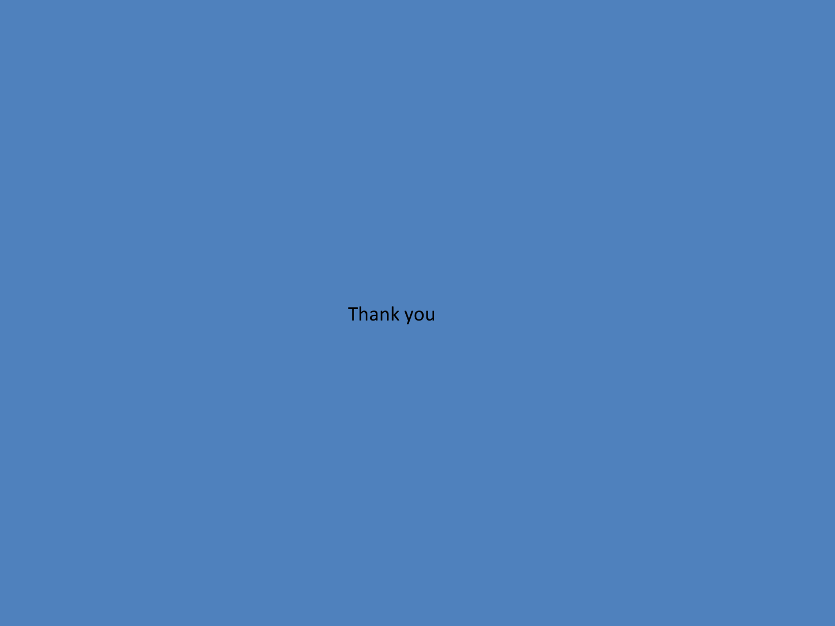Thank you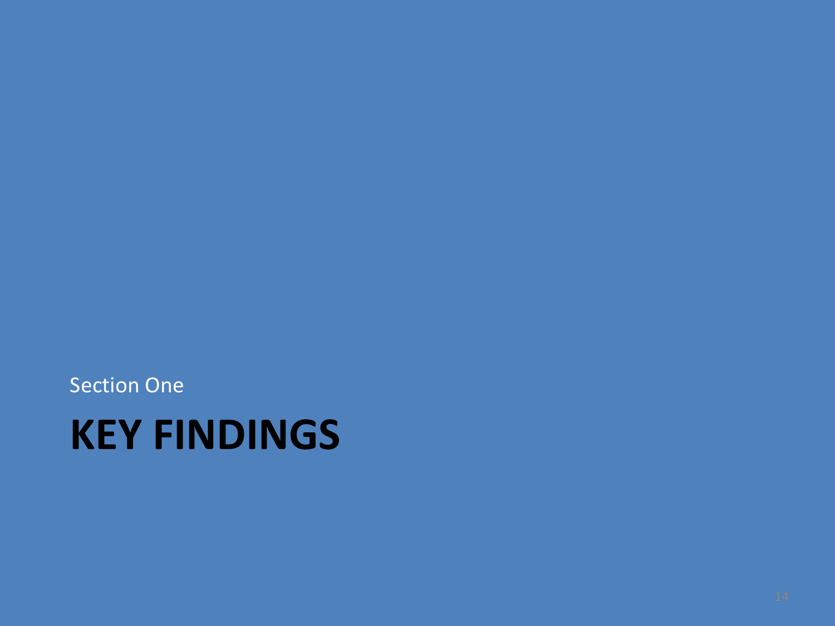**Section One** 

# **KEY FINDINGS**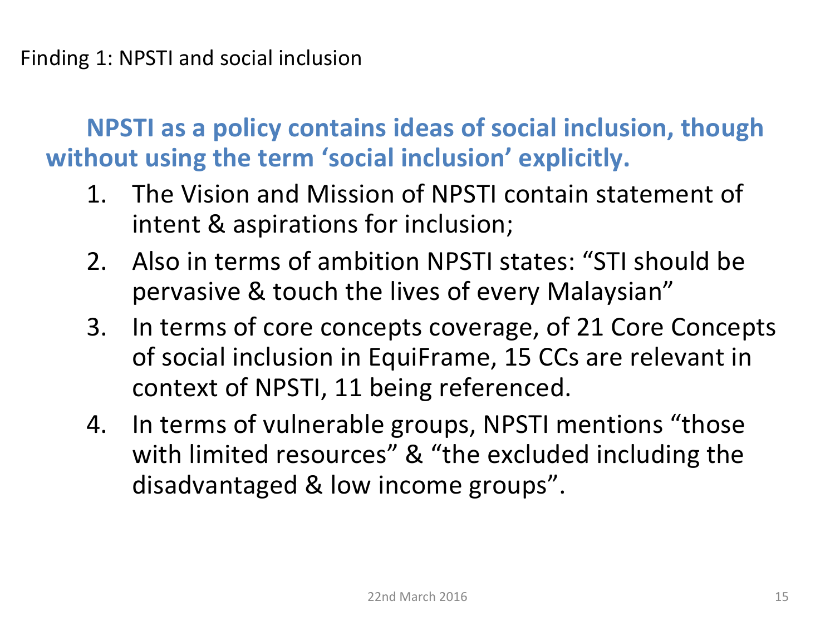**NPSTI** as a policy contains ideas of social inclusion, though without using the term 'social inclusion' explicitly.

- 1. The Vision and Mission of NPSTI contain statement of intent & aspirations for inclusion;
- 2. Also in terms of ambition NPSTI states: "STI should be pervasive & touch the lives of every Malaysian"
- 3. In terms of core concepts coverage, of 21 Core Concepts of social inclusion in EquiFrame, 15 CCs are relevant in context of NPSTI, 11 being referenced.
- 4. In terms of vulnerable groups, NPSTI mentions "those with limited resources" & "the excluded including the disadvantaged & low income groups".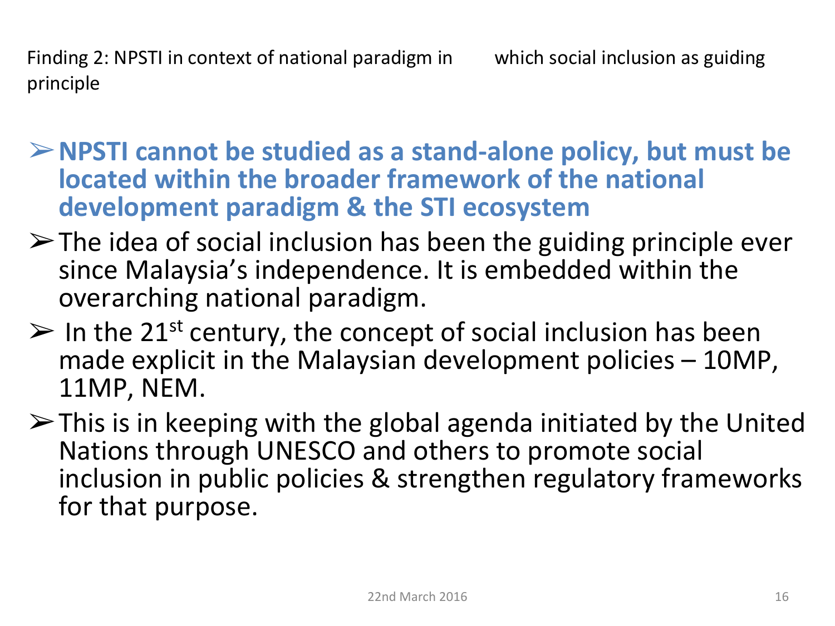Finding 2: NPSTI in context of national paradigm in which social inclusion as guiding principle

- **► NPSTI cannot be studied as a stand-alone policy, but must be located within the broader framework of the national development paradigm & the STI ecosystem**
- $\triangleright$  The idea of social inclusion has been the guiding principle ever since Malaysia's independence. It is embedded within the overarching national paradigm.
- $\triangleright$  In the 21<sup>st</sup> century, the concept of social inclusion has been made explicit in the Malaysian development policies  $- 10MP$ , 11MP, NEM.
- $\triangleright$  This is in keeping with the global agenda initiated by the United Nations through UNESCO and others to promote social inclusion in public policies & strengthen regulatory frameworks for that purpose.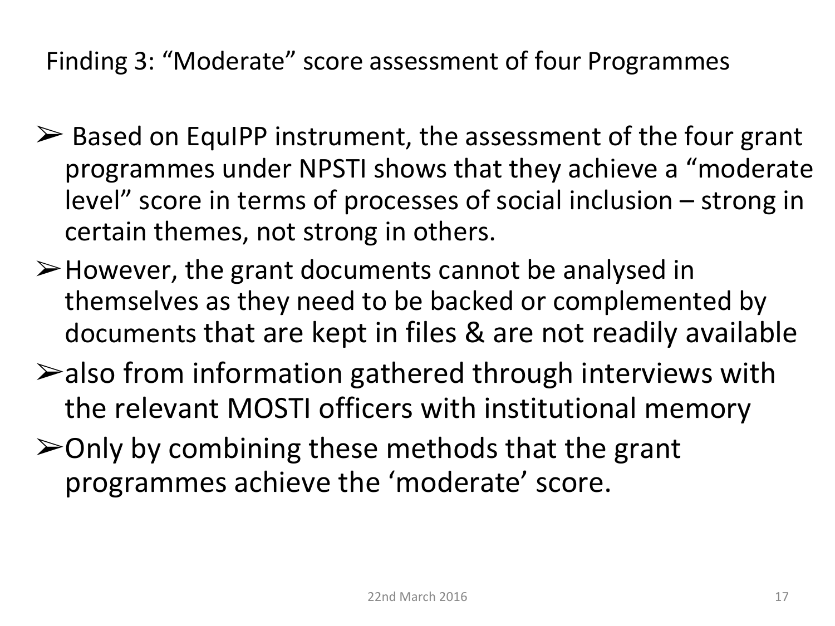Finding 3: "Moderate" score assessment of four Programmes

- $\triangleright$  Based on EquIPP instrument, the assessment of the four grant programmes under NPSTI shows that they achieve a "moderate level" score in terms of processes of social inclusion  $-$  strong in certain themes, not strong in others.
- $\triangleright$  However, the grant documents cannot be analysed in themselves as they need to be backed or complemented by documents that are kept in files & are not readily available
- $\blacktriangleright$  also from information gathered through interviews with the relevant MOSTI officers with institutional memory
- $\geq$ Only by combining these methods that the grant programmes achieve the 'moderate' score.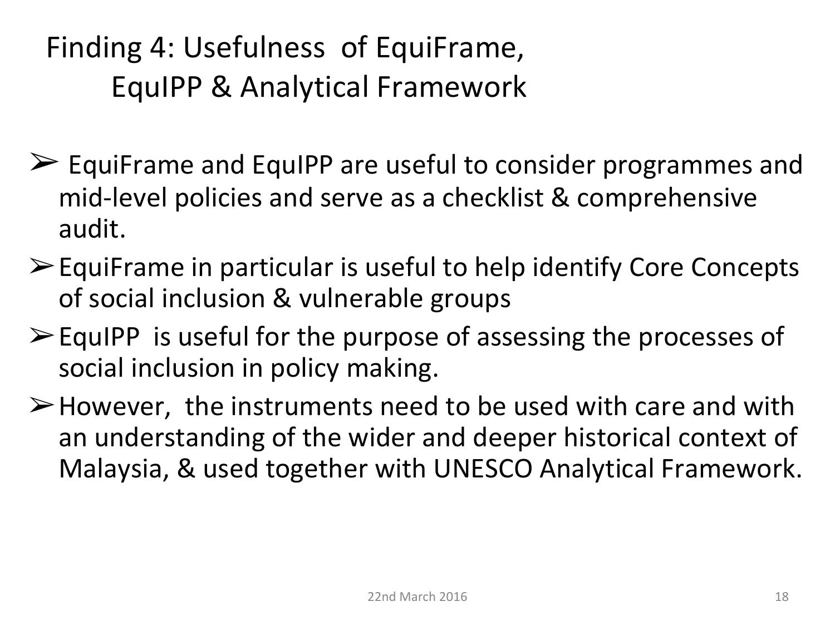### Finding 4: Usefulness of EquiFrame, EquIPP & Analytical Framework

- $\triangleright$  EquiFrame and EquIPP are useful to consider programmes and mid-level policies and serve as a checklist & comprehensive audit.
- $\triangleright$  EquiFrame in particular is useful to help identify Core Concepts of social inclusion & vulnerable groups
- $\triangleright$  EquIPP is useful for the purpose of assessing the processes of social inclusion in policy making.
- $\triangleright$  However, the instruments need to be used with care and with an understanding of the wider and deeper historical context of Malaysia, & used together with UNESCO Analytical Framework.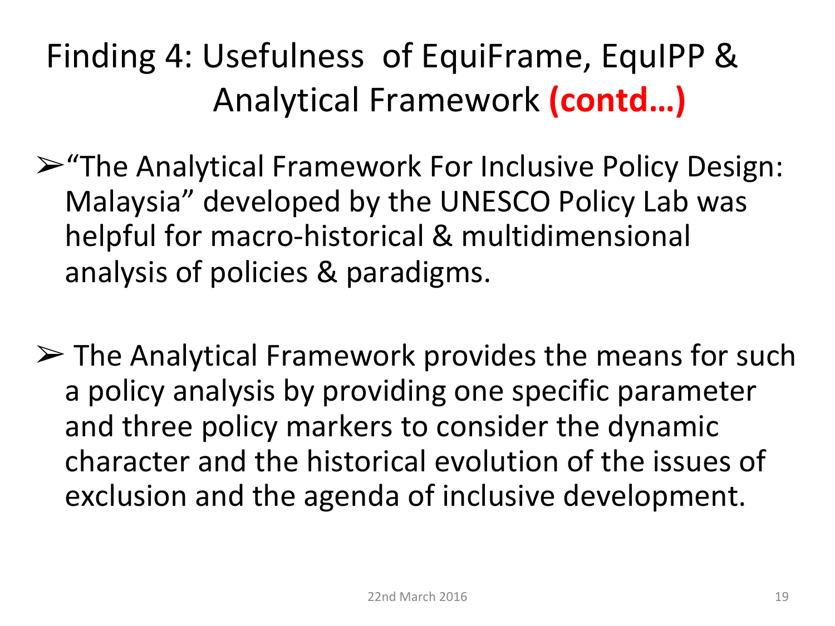Finding 4: Usefulness of EquiFrame, EquIPP & Analytical Framework **(contd…)**

- $\triangleright$  "The Analytical Framework For Inclusive Policy Design: Malaysia" developed by the UNESCO Policy Lab was helpful for macro-historical & multidimensional analysis of policies & paradigms.
- $\triangleright$  The Analytical Framework provides the means for such a policy analysis by providing one specific parameter and three policy markers to consider the dynamic character and the historical evolution of the issues of exclusion and the agenda of inclusive development.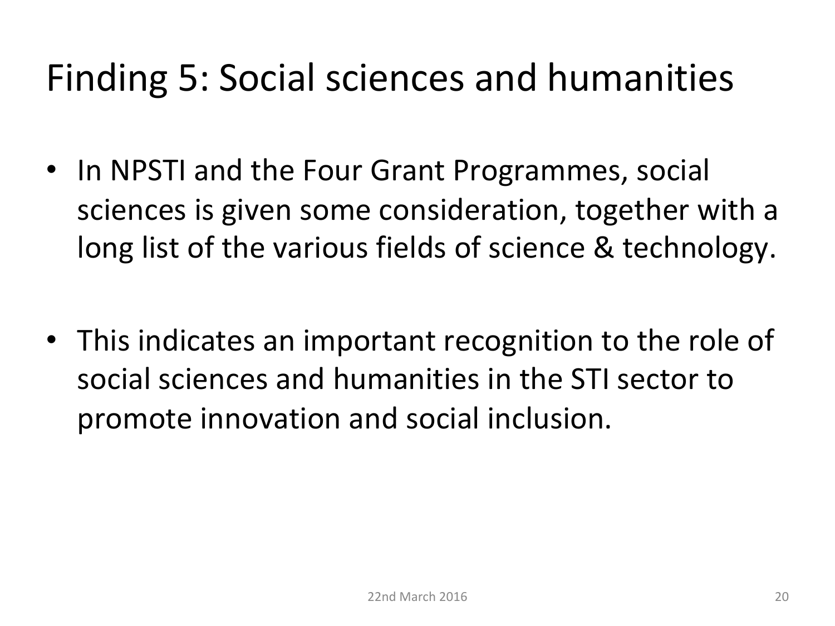## Finding 5: Social sciences and humanities

- In NPSTI and the Four Grant Programmes, social sciences is given some consideration, together with a long list of the various fields of science & technology.
- This indicates an important recognition to the role of social sciences and humanities in the STI sector to promote innovation and social inclusion.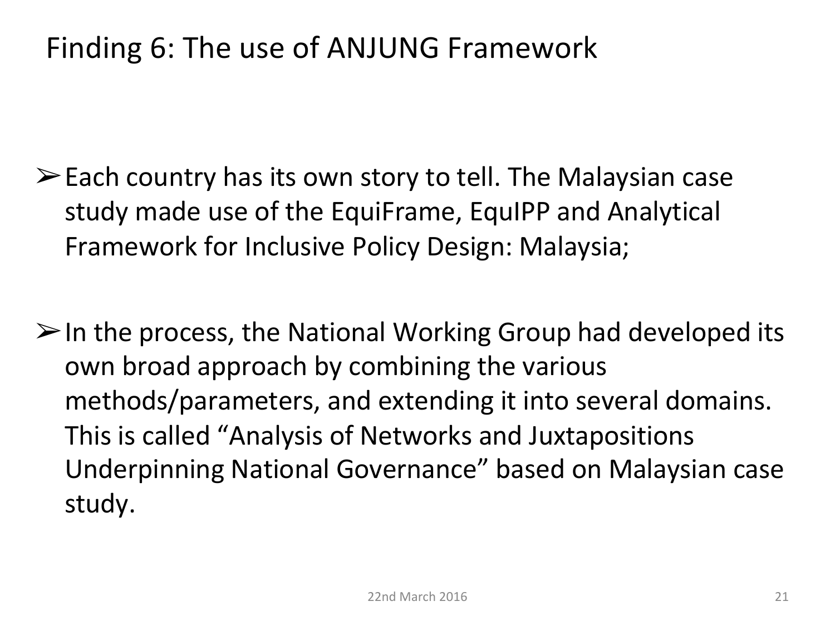#### Finding 6: The use of ANJUNG Framework

- $\triangleright$  Each country has its own story to tell. The Malaysian case study made use of the EquiFrame, EquIPP and Analytical Framework for Inclusive Policy Design: Malaysia;
- $\triangleright$  In the process, the National Working Group had developed its own broad approach by combining the various methods/parameters, and extending it into several domains. This is called "Analysis of Networks and Juxtapositions Underpinning National Governance" based on Malaysian case study.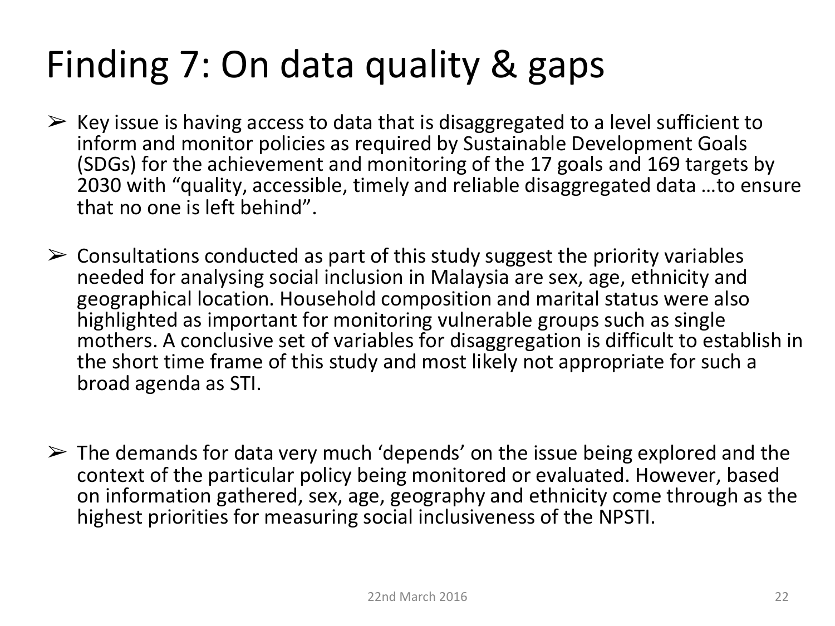# Finding 7: On data quality & gaps

- $\triangleright$  Key issue is having access to data that is disaggregated to a level sufficient to inform and monitor policies as required by Sustainable Development Goals (SDGs) for the achievement and monitoring of the 17 goals and 169 targets by 2030 with "quality, accessible, timely and reliable disaggregated data ...to ensure that no one is left behind".
- $\triangleright$  Consultations conducted as part of this study suggest the priority variables needed for analysing social inclusion in Malaysia are sex, age, ethnicity and geographical location. Household composition and marital status were also highlighted as important for monitoring vulnerable groups such as single mothers. A conclusive set of variables for disaggregation is difficult to establish in the short time frame of this study and most likely not appropriate for such a broad agenda as STI.
- $\triangleright$  The demands for data very much 'depends' on the issue being explored and the context of the particular policy being monitored or evaluated. However, based on information gathered, sex, age, geography and ethnicity come through as the highest priorities for measuring social inclusiveness of the NPSTI.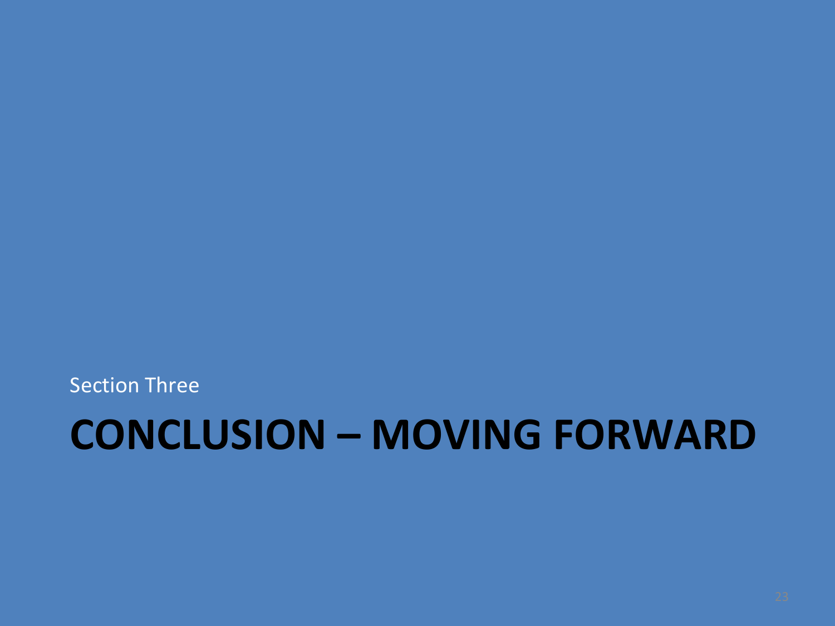**Section Three** 

# **CONCLUSION – MOVING FORWARD**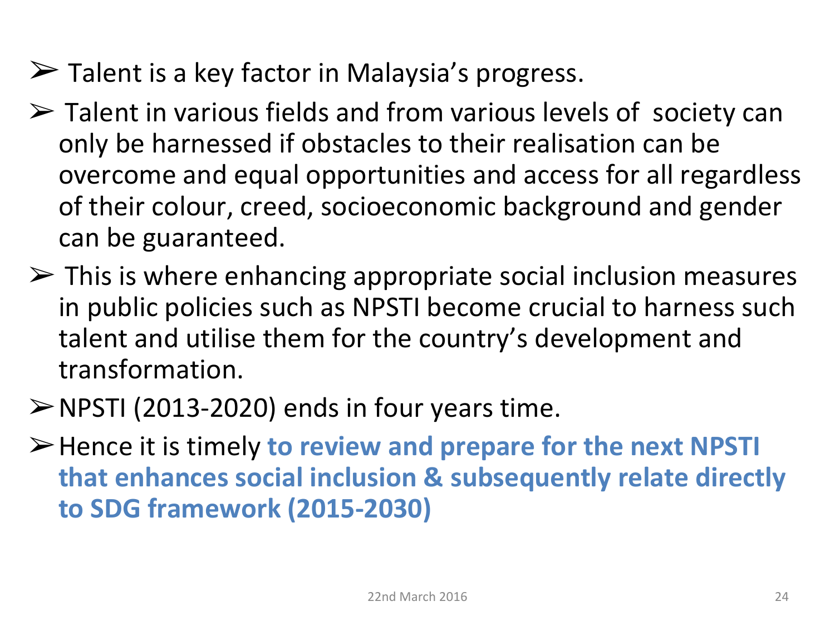- $\triangleright$  Talent is a key factor in Malaysia's progress.
- $\triangleright$  Talent in various fields and from various levels of society can only be harnessed if obstacles to their realisation can be overcome and equal opportunities and access for all regardless of their colour, creed, socioeconomic background and gender can be guaranteed.
- $\triangleright$  This is where enhancing appropriate social inclusion measures in public policies such as NPSTI become crucial to harness such talent and utilise them for the country's development and transformation.
- $\triangleright$  NPSTI (2013-2020) ends in four years time.
- $\triangleright$  Hence it is timely to review and prepare for the next NPSTI that enhances social inclusion & subsequently relate directly **to SDG framework (2015-2030)**